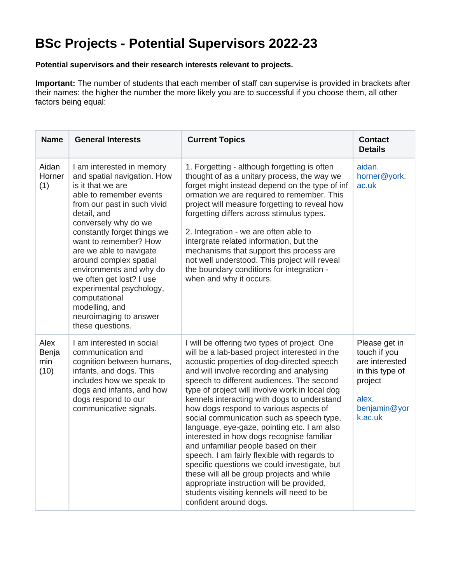## **BSc Projects - Potential Supervisors 2022-23**

## **Potential supervisors and their research interests relevant to projects.**

**Important:** The number of students that each member of staff can supervise is provided in brackets after their names: the higher the number the more likely you are to successful if you choose them, all other factors being equal:

| <b>Name</b>                  | <b>General Interests</b>                                                                                                                                                                                                                                                                                                                                                                                                                                        | <b>Current Topics</b>                                                                                                                                                                                                                                                                                                                                                                                                                                                                                                                                                                                                                                                                                                                                                                                                              | <b>Contact</b><br><b>Details</b>                                                                                  |
|------------------------------|-----------------------------------------------------------------------------------------------------------------------------------------------------------------------------------------------------------------------------------------------------------------------------------------------------------------------------------------------------------------------------------------------------------------------------------------------------------------|------------------------------------------------------------------------------------------------------------------------------------------------------------------------------------------------------------------------------------------------------------------------------------------------------------------------------------------------------------------------------------------------------------------------------------------------------------------------------------------------------------------------------------------------------------------------------------------------------------------------------------------------------------------------------------------------------------------------------------------------------------------------------------------------------------------------------------|-------------------------------------------------------------------------------------------------------------------|
| Aidan<br>Horner<br>(1)       | I am interested in memory<br>and spatial navigation. How<br>is it that we are<br>able to remember events<br>from our past in such vivid<br>detail, and<br>conversely why do we<br>constantly forget things we<br>want to remember? How<br>are we able to navigate<br>around complex spatial<br>environments and why do<br>we often get lost? I use<br>experimental psychology,<br>computational<br>modelling, and<br>neuroimaging to answer<br>these questions. | 1. Forgetting - although forgetting is often<br>thought of as a unitary process, the way we<br>forget might instead depend on the type of inf<br>ormation we are required to remember. This<br>project will measure forgetting to reveal how<br>forgetting differs across stimulus types.<br>2. Integration - we are often able to<br>intergrate related information, but the<br>mechanisms that support this process are<br>not well understood. This project will reveal<br>the boundary conditions for integration -<br>when and why it occurs.                                                                                                                                                                                                                                                                                 | aidan.<br>horner@york.<br>ac.uk                                                                                   |
| Alex<br>Benja<br>min<br>(10) | I am interested in social<br>communication and<br>cognition between humans,<br>infants, and dogs. This<br>includes how we speak to<br>dogs and infants, and how<br>dogs respond to our<br>communicative signals.                                                                                                                                                                                                                                                | I will be offering two types of project. One<br>will be a lab-based project interested in the<br>acoustic properties of dog-directed speech<br>and will involve recording and analysing<br>speech to different audiences. The second<br>type of project will involve work in local dog<br>kennels interacting with dogs to understand<br>how dogs respond to various aspects of<br>social communication such as speech type,<br>language, eye-gaze, pointing etc. I am also<br>interested in how dogs recognise familiar<br>and unfamiliar people based on their<br>speech. I am fairly flexible with regards to<br>specific questions we could investigate, but<br>these will all be group projects and while<br>appropriate instruction will be provided,<br>students visiting kennels will need to be<br>confident around dogs. | Please get in<br>touch if you<br>are interested<br>in this type of<br>project<br>alex.<br>benjamin@yor<br>k.ac.uk |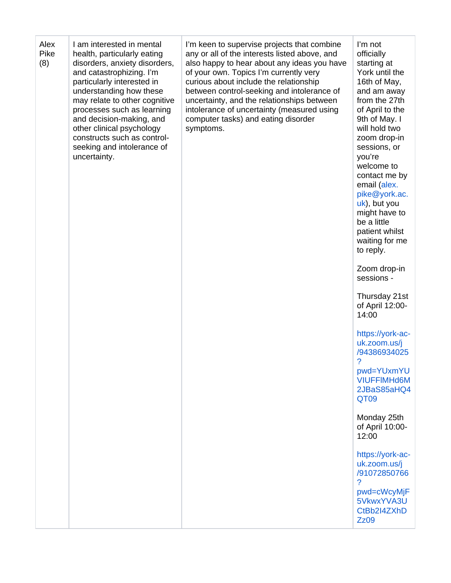| Alex<br>Pike<br>(8) | I am interested in mental<br>health, particularly eating<br>disorders, anxiety disorders,<br>and catastrophizing. I'm<br>particularly interested in<br>understanding how these<br>may relate to other cognitive<br>processes such as learning<br>and decision-making, and<br>other clinical psychology<br>constructs such as control-<br>seeking and intolerance of<br>uncertainty. | I'm keen to supervise projects that combine<br>any or all of the interests listed above, and<br>also happy to hear about any ideas you have<br>of your own. Topics I'm currently very<br>curious about include the relationship<br>between control-seeking and intolerance of<br>uncertainty, and the relationships between<br>intolerance of uncertainty (measured using<br>computer tasks) and eating disorder<br>symptoms. | I'm not<br>officially<br>starting at<br>York until the<br>16th of May,<br>and am away<br>from the 27th<br>of April to the<br>9th of May. I<br>will hold two<br>zoom drop-in<br>sessions, or<br>you're<br>welcome to<br>contact me by<br>email (alex.<br>pike@york.ac.<br>uk), but you<br>might have to<br>be a little<br>patient whilst<br>waiting for me<br>to reply. |
|---------------------|-------------------------------------------------------------------------------------------------------------------------------------------------------------------------------------------------------------------------------------------------------------------------------------------------------------------------------------------------------------------------------------|-------------------------------------------------------------------------------------------------------------------------------------------------------------------------------------------------------------------------------------------------------------------------------------------------------------------------------------------------------------------------------------------------------------------------------|------------------------------------------------------------------------------------------------------------------------------------------------------------------------------------------------------------------------------------------------------------------------------------------------------------------------------------------------------------------------|
|                     |                                                                                                                                                                                                                                                                                                                                                                                     |                                                                                                                                                                                                                                                                                                                                                                                                                               | Zoom drop-in<br>sessions -                                                                                                                                                                                                                                                                                                                                             |
|                     |                                                                                                                                                                                                                                                                                                                                                                                     |                                                                                                                                                                                                                                                                                                                                                                                                                               | Thursday 21st<br>of April 12:00-<br>14:00                                                                                                                                                                                                                                                                                                                              |
|                     |                                                                                                                                                                                                                                                                                                                                                                                     |                                                                                                                                                                                                                                                                                                                                                                                                                               | https://york-ac-<br>uk.zoom.us/j<br>/94386934025<br>$\overline{?}$                                                                                                                                                                                                                                                                                                     |
|                     |                                                                                                                                                                                                                                                                                                                                                                                     |                                                                                                                                                                                                                                                                                                                                                                                                                               | pwd=YUxmYU<br><b>VIUFFIMHd6M</b><br>2JBaS85aHQ4<br>QT09                                                                                                                                                                                                                                                                                                                |
|                     |                                                                                                                                                                                                                                                                                                                                                                                     |                                                                                                                                                                                                                                                                                                                                                                                                                               | Monday 25th<br>of April 10:00-<br>12:00                                                                                                                                                                                                                                                                                                                                |
|                     |                                                                                                                                                                                                                                                                                                                                                                                     |                                                                                                                                                                                                                                                                                                                                                                                                                               | https://york-ac-<br>uk.zoom.us/j<br>/91072850766<br>?<br>pwd=cWcyMjF<br>5VkwxYVA3U<br>CtBb2I4ZXhD<br><b>Zz09</b>                                                                                                                                                                                                                                                       |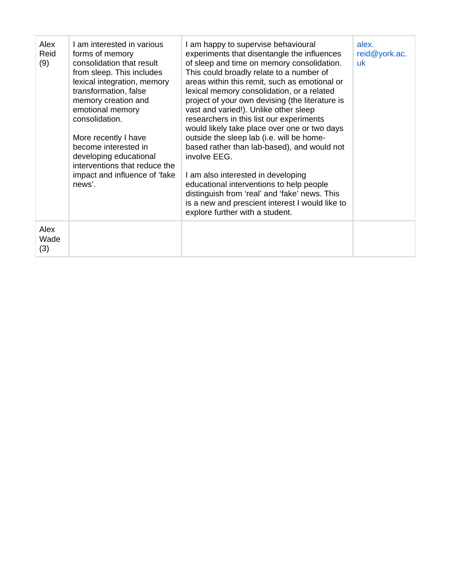| Alex<br>Reid<br>(9) | I am interested in various<br>forms of memory<br>consolidation that result<br>from sleep. This includes<br>lexical integration, memory<br>transformation, false<br>memory creation and<br>emotional memory<br>consolidation.<br>More recently I have<br>become interested in<br>developing educational<br>interventions that reduce the<br>impact and influence of 'fake<br>news'. | I am happy to supervise behavioural<br>experiments that disentangle the influences<br>of sleep and time on memory consolidation.<br>This could broadly relate to a number of<br>areas within this remit, such as emotional or<br>lexical memory consolidation, or a related<br>project of your own devising (the literature is<br>vast and varied!). Unlike other sleep<br>researchers in this list our experiments<br>would likely take place over one or two days<br>outside the sleep lab (i.e. will be home-<br>based rather than lab-based), and would not<br>involve EEG.<br>I am also interested in developing<br>educational interventions to help people<br>distinguish from 'real' and 'fake' news. This<br>is a new and prescient interest I would like to<br>explore further with a student. | alex.<br>reid@york.ac.<br>uk |
|---------------------|------------------------------------------------------------------------------------------------------------------------------------------------------------------------------------------------------------------------------------------------------------------------------------------------------------------------------------------------------------------------------------|----------------------------------------------------------------------------------------------------------------------------------------------------------------------------------------------------------------------------------------------------------------------------------------------------------------------------------------------------------------------------------------------------------------------------------------------------------------------------------------------------------------------------------------------------------------------------------------------------------------------------------------------------------------------------------------------------------------------------------------------------------------------------------------------------------|------------------------------|
| Alex<br>Wade<br>(3) |                                                                                                                                                                                                                                                                                                                                                                                    |                                                                                                                                                                                                                                                                                                                                                                                                                                                                                                                                                                                                                                                                                                                                                                                                          |                              |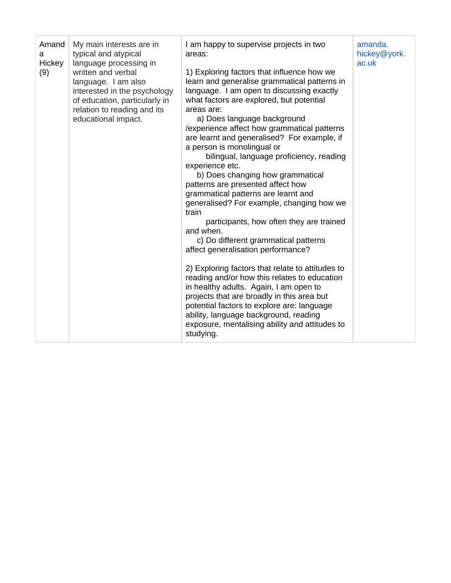| Amand<br>а<br>Hickey<br>(9) | My main interests are in<br>typical and atypical<br>language processing in<br>written and verbal<br>language. I am also<br>interested in the psychology<br>of education, particularly in<br>relation to reading and its<br>educational impact. | I am happy to supervise projects in two<br>areas:<br>1) Exploring factors that influence how we<br>learn and generalise grammatical patterns in<br>language. I am open to discussing exactly<br>what factors are explored, but potential<br>areas are:<br>a) Does language background<br>/experience affect how grammatical patterns<br>are learnt and generalised? For example, if<br>a person is monolingual or<br>bilingual, language proficiency, reading<br>experience etc.<br>b) Does changing how grammatical<br>patterns are presented affect how<br>grammatical patterns are learnt and<br>generalised? For example, changing how we<br>train<br>participants, how often they are trained<br>and when.<br>c) Do different grammatical patterns<br>affect generalisation performance?<br>2) Exploring factors that relate to attitudes to<br>reading and/or how this relates to education<br>in healthy adults. Again, I am open to<br>projects that are broadly in this area but<br>potential factors to explore are: language<br>ability, language background, reading<br>exposure, mentalising ability and attitudes to<br>studying. | amanda.<br>hickey@york.<br>ac.uk |
|-----------------------------|------------------------------------------------------------------------------------------------------------------------------------------------------------------------------------------------------------------------------------------------|-------------------------------------------------------------------------------------------------------------------------------------------------------------------------------------------------------------------------------------------------------------------------------------------------------------------------------------------------------------------------------------------------------------------------------------------------------------------------------------------------------------------------------------------------------------------------------------------------------------------------------------------------------------------------------------------------------------------------------------------------------------------------------------------------------------------------------------------------------------------------------------------------------------------------------------------------------------------------------------------------------------------------------------------------------------------------------------------------------------------------------------------------|----------------------------------|
|-----------------------------|------------------------------------------------------------------------------------------------------------------------------------------------------------------------------------------------------------------------------------------------|-------------------------------------------------------------------------------------------------------------------------------------------------------------------------------------------------------------------------------------------------------------------------------------------------------------------------------------------------------------------------------------------------------------------------------------------------------------------------------------------------------------------------------------------------------------------------------------------------------------------------------------------------------------------------------------------------------------------------------------------------------------------------------------------------------------------------------------------------------------------------------------------------------------------------------------------------------------------------------------------------------------------------------------------------------------------------------------------------------------------------------------------------|----------------------------------|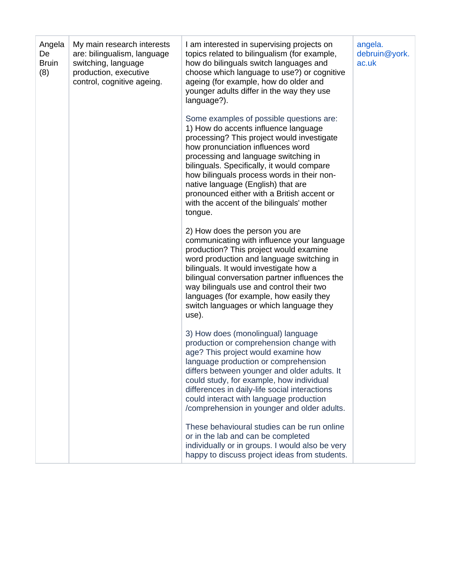| Angela<br>De<br><b>Bruin</b><br>(8) | My main research interests<br>are: bilingualism, language<br>switching, language<br>production, executive<br>control, cognitive ageing. | I am interested in supervising projects on<br>topics related to bilingualism (for example,<br>how do bilinguals switch languages and<br>choose which language to use?) or cognitive<br>ageing (for example, how do older and<br>younger adults differ in the way they use<br>language?).                                                                                                                                                            | angela.<br>debruin@york.<br>ac.uk |
|-------------------------------------|-----------------------------------------------------------------------------------------------------------------------------------------|-----------------------------------------------------------------------------------------------------------------------------------------------------------------------------------------------------------------------------------------------------------------------------------------------------------------------------------------------------------------------------------------------------------------------------------------------------|-----------------------------------|
|                                     |                                                                                                                                         | Some examples of possible questions are:<br>1) How do accents influence language<br>processing? This project would investigate<br>how pronunciation influences word<br>processing and language switching in<br>bilinguals. Specifically, it would compare<br>how bilinguals process words in their non-<br>native language (English) that are<br>pronounced either with a British accent or<br>with the accent of the bilinguals' mother<br>tongue. |                                   |
|                                     |                                                                                                                                         | 2) How does the person you are<br>communicating with influence your language<br>production? This project would examine<br>word production and language switching in<br>bilinguals. It would investigate how a<br>bilingual conversation partner influences the<br>way bilinguals use and control their two<br>languages (for example, how easily they<br>switch languages or which language they<br>use).                                           |                                   |
|                                     |                                                                                                                                         | 3) How does (monolingual) language<br>production or comprehension change with<br>age? This project would examine how<br>language production or comprehension<br>differs between younger and older adults. It<br>could study, for example, how individual<br>differences in daily-life social interactions<br>could interact with language production<br>/comprehension in younger and older adults.                                                 |                                   |
|                                     |                                                                                                                                         | These behavioural studies can be run online<br>or in the lab and can be completed<br>individually or in groups. I would also be very<br>happy to discuss project ideas from students.                                                                                                                                                                                                                                                               |                                   |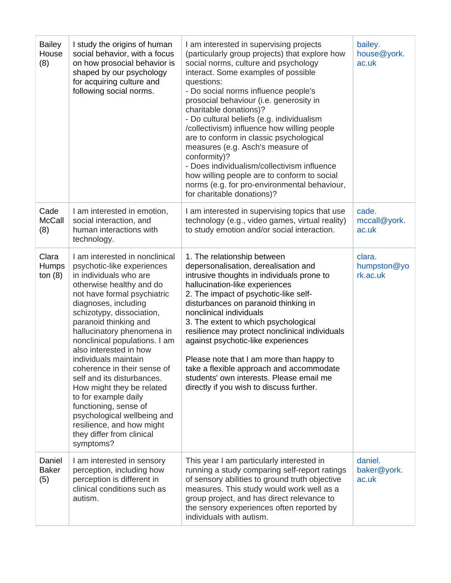| <b>Bailey</b><br>House<br>(8) | I study the origins of human<br>social behavior, with a focus<br>on how prosocial behavior is<br>shaped by our psychology<br>for acquiring culture and<br>following social norms.                                                                                                                                                                                                                                                                                                                                                                                                                 | I am interested in supervising projects<br>(particularly group projects) that explore how<br>social norms, culture and psychology<br>interact. Some examples of possible<br>questions:<br>- Do social norms influence people's<br>prosocial behaviour (i.e. generosity in<br>charitable donations)?<br>- Do cultural beliefs (e.g. individualism<br>/collectivism) influence how willing people<br>are to conform in classic psychological<br>measures (e.g. Asch's measure of<br>conformity)?<br>- Does individualism/collectivism influence<br>how willing people are to conform to social<br>norms (e.g. for pro-environmental behaviour,<br>for charitable donations)? | bailey.<br>house@york.<br>ac.uk   |
|-------------------------------|---------------------------------------------------------------------------------------------------------------------------------------------------------------------------------------------------------------------------------------------------------------------------------------------------------------------------------------------------------------------------------------------------------------------------------------------------------------------------------------------------------------------------------------------------------------------------------------------------|----------------------------------------------------------------------------------------------------------------------------------------------------------------------------------------------------------------------------------------------------------------------------------------------------------------------------------------------------------------------------------------------------------------------------------------------------------------------------------------------------------------------------------------------------------------------------------------------------------------------------------------------------------------------------|-----------------------------------|
| Cade<br><b>McCall</b><br>(8)  | I am interested in emotion,<br>social interaction, and<br>human interactions with<br>technology.                                                                                                                                                                                                                                                                                                                                                                                                                                                                                                  | I am interested in supervising topics that use<br>technology (e.g., video games, virtual reality)<br>to study emotion and/or social interaction.                                                                                                                                                                                                                                                                                                                                                                                                                                                                                                                           | cade.<br>mccall@york.<br>ac.uk    |
| Clara<br>Humps<br>ton $(8)$   | I am interested in nonclinical<br>psychotic-like experiences<br>in individuals who are<br>otherwise healthy and do<br>not have formal psychiatric<br>diagnoses, including<br>schizotypy, dissociation,<br>paranoid thinking and<br>hallucinatory phenomena in<br>nonclinical populations. I am<br>also interested in how<br>individuals maintain<br>coherence in their sense of<br>self and its disturbances.<br>How might they be related<br>to for example daily<br>functioning, sense of<br>psychological wellbeing and<br>resilience, and how might<br>they differ from clinical<br>symptoms? | 1. The relationship between<br>depersonalisation, derealisation and<br>intrusive thoughts in individuals prone to<br>hallucination-like experiences<br>2. The impact of psychotic-like self-<br>disturbances on paranoid thinking in<br>nonclinical individuals<br>3. The extent to which psychological<br>resilience may protect nonclinical individuals<br>against psychotic-like experiences<br>Please note that I am more than happy to<br>take a flexible approach and accommodate<br>students' own interests. Please email me<br>directly if you wish to discuss further.                                                                                            | clara.<br>humpston@yo<br>rk.ac.uk |
| Daniel<br><b>Baker</b><br>(5) | I am interested in sensory<br>perception, including how<br>perception is different in<br>clinical conditions such as<br>autism.                                                                                                                                                                                                                                                                                                                                                                                                                                                                   | This year I am particularly interested in<br>running a study comparing self-report ratings<br>of sensory abilities to ground truth objective<br>measures. This study would work well as a<br>group project, and has direct relevance to<br>the sensory experiences often reported by<br>individuals with autism.                                                                                                                                                                                                                                                                                                                                                           | daniel.<br>baker@york.<br>ac.uk   |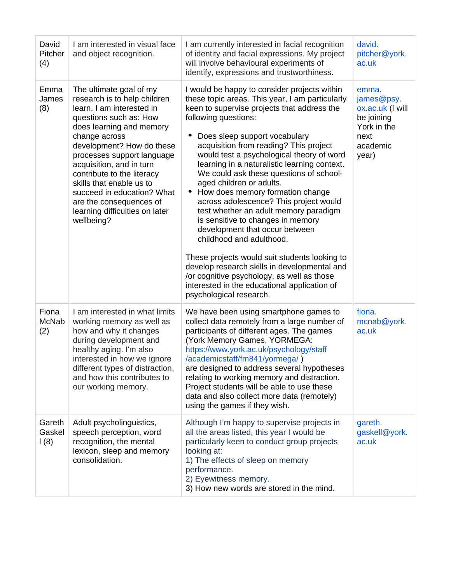| David<br>Pitcher<br>(4) | I am interested in visual face<br>and object recognition.                                                                                                                                                                                                                                                                                                                                                             | I am currently interested in facial recognition<br>of identity and facial expressions. My project<br>will involve behavioural experiments of<br>identify, expressions and trustworthiness.                                                                                                                                                                                                                                                                                                                                                                                                                                                                                                                                                                                                                                                                                             | david.<br>pitcher@york.<br>ac.uk                                                                  |
|-------------------------|-----------------------------------------------------------------------------------------------------------------------------------------------------------------------------------------------------------------------------------------------------------------------------------------------------------------------------------------------------------------------------------------------------------------------|----------------------------------------------------------------------------------------------------------------------------------------------------------------------------------------------------------------------------------------------------------------------------------------------------------------------------------------------------------------------------------------------------------------------------------------------------------------------------------------------------------------------------------------------------------------------------------------------------------------------------------------------------------------------------------------------------------------------------------------------------------------------------------------------------------------------------------------------------------------------------------------|---------------------------------------------------------------------------------------------------|
| Emma<br>James<br>(8)    | The ultimate goal of my<br>research is to help children<br>learn. I am interested in<br>questions such as: How<br>does learning and memory<br>change across<br>development? How do these<br>processes support language<br>acquisition, and in turn<br>contribute to the literacy<br>skills that enable us to<br>succeed in education? What<br>are the consequences of<br>learning difficulties on later<br>wellbeing? | I would be happy to consider projects within<br>these topic areas. This year, I am particularly<br>keen to supervise projects that address the<br>following questions:<br>Does sleep support vocabulary<br>acquisition from reading? This project<br>would test a psychological theory of word<br>learning in a naturalistic learning context.<br>We could ask these questions of school-<br>aged children or adults.<br>How does memory formation change<br>$\bullet$<br>across adolescence? This project would<br>test whether an adult memory paradigm<br>is sensitive to changes in memory<br>development that occur between<br>childhood and adulthood.<br>These projects would suit students looking to<br>develop research skills in developmental and<br>/or cognitive psychology, as well as those<br>interested in the educational application of<br>psychological research. | emma.<br>james@psy.<br>ox.ac.uk (I will<br>be joining<br>York in the<br>next<br>academic<br>year) |
| Fiona<br>McNab<br>(2)   | I am interested in what limits<br>working memory as well as<br>how and why it changes<br>during development and<br>healthy aging. I'm also<br>interested in how we ignore<br>different types of distraction,<br>and how this contributes to<br>our working memory.                                                                                                                                                    | We have been using smartphone games to<br>collect data remotely from a large number of<br>participants of different ages. The games<br>(York Memory Games, YORMEGA:<br>https://www.york.ac.uk/psychology/staff<br>/academicstaff/fm841/yormega/)<br>are designed to address several hypotheses<br>relating to working memory and distraction.<br>Project students will be able to use these<br>data and also collect more data (remotely)<br>using the games if they wish.                                                                                                                                                                                                                                                                                                                                                                                                             | fiona.<br>mcnab@york.<br>ac.uk                                                                    |
| Gareth<br>Gaskel<br>(8) | Adult psycholinguistics,<br>speech perception, word<br>recognition, the mental<br>lexicon, sleep and memory<br>consolidation.                                                                                                                                                                                                                                                                                         | Although I'm happy to supervise projects in<br>all the areas listed, this year I would be<br>particularly keen to conduct group projects<br>looking at:<br>1) The effects of sleep on memory<br>performance.<br>2) Eyewitness memory.<br>3) How new words are stored in the mind.                                                                                                                                                                                                                                                                                                                                                                                                                                                                                                                                                                                                      | gareth.<br>gaskell@york.<br>ac.uk                                                                 |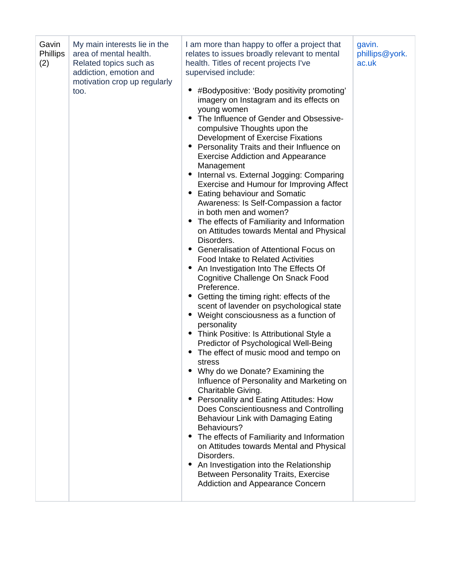| Gavin<br><b>Phillips</b><br>(2) | My main interests lie in the<br>area of mental health.<br>Related topics such as<br>addiction, emotion and<br>motivation crop up regularly<br>too. | I am more than happy to offer a project that<br>relates to issues broadly relevant to mental<br>health. Titles of recent projects I've<br>supervised include:<br>#Bodypositive: 'Body positivity promoting'<br>imagery on Instagram and its effects on<br>young women<br>• The Influence of Gender and Obsessive-<br>compulsive Thoughts upon the<br>Development of Exercise Fixations<br>Personality Traits and their Influence on<br><b>Exercise Addiction and Appearance</b><br>Management<br>Internal vs. External Jogging: Comparing<br>٠<br>Exercise and Humour for Improving Affect<br><b>Eating behaviour and Somatic</b><br>٠<br>Awareness: Is Self-Compassion a factor<br>in both men and women?<br>The effects of Familiarity and Information<br>on Attitudes towards Mental and Physical<br>Disorders.<br>• Generalisation of Attentional Focus on<br><b>Food Intake to Related Activities</b><br>An Investigation Into The Effects Of<br>$\bullet$<br>Cognitive Challenge On Snack Food<br>Preference.<br>Getting the timing right: effects of the<br>$\bullet$<br>scent of lavender on psychological state<br>Weight consciousness as a function of<br>٠<br>personality<br>• Think Positive: Is Attributional Style a<br>Predictor of Psychological Well-Being<br>The effect of music mood and tempo on<br>stress<br>Why do we Donate? Examining the<br>Influence of Personality and Marketing on<br>Charitable Giving.<br>Personality and Eating Attitudes: How<br>Does Conscientiousness and Controlling<br>Behaviour Link with Damaging Eating<br>Behaviours?<br>The effects of Familiarity and Information<br>٠<br>on Attitudes towards Mental and Physical<br>Disorders.<br>An Investigation into the Relationship<br>Between Personality Traits, Exercise<br>Addiction and Appearance Concern | gavin.<br>phillips@york.<br>ac.uk |
|---------------------------------|----------------------------------------------------------------------------------------------------------------------------------------------------|-------------------------------------------------------------------------------------------------------------------------------------------------------------------------------------------------------------------------------------------------------------------------------------------------------------------------------------------------------------------------------------------------------------------------------------------------------------------------------------------------------------------------------------------------------------------------------------------------------------------------------------------------------------------------------------------------------------------------------------------------------------------------------------------------------------------------------------------------------------------------------------------------------------------------------------------------------------------------------------------------------------------------------------------------------------------------------------------------------------------------------------------------------------------------------------------------------------------------------------------------------------------------------------------------------------------------------------------------------------------------------------------------------------------------------------------------------------------------------------------------------------------------------------------------------------------------------------------------------------------------------------------------------------------------------------------------------------------------------------------------------------------------------------------------------------------|-----------------------------------|
|---------------------------------|----------------------------------------------------------------------------------------------------------------------------------------------------|-------------------------------------------------------------------------------------------------------------------------------------------------------------------------------------------------------------------------------------------------------------------------------------------------------------------------------------------------------------------------------------------------------------------------------------------------------------------------------------------------------------------------------------------------------------------------------------------------------------------------------------------------------------------------------------------------------------------------------------------------------------------------------------------------------------------------------------------------------------------------------------------------------------------------------------------------------------------------------------------------------------------------------------------------------------------------------------------------------------------------------------------------------------------------------------------------------------------------------------------------------------------------------------------------------------------------------------------------------------------------------------------------------------------------------------------------------------------------------------------------------------------------------------------------------------------------------------------------------------------------------------------------------------------------------------------------------------------------------------------------------------------------------------------------------------------|-----------------------------------|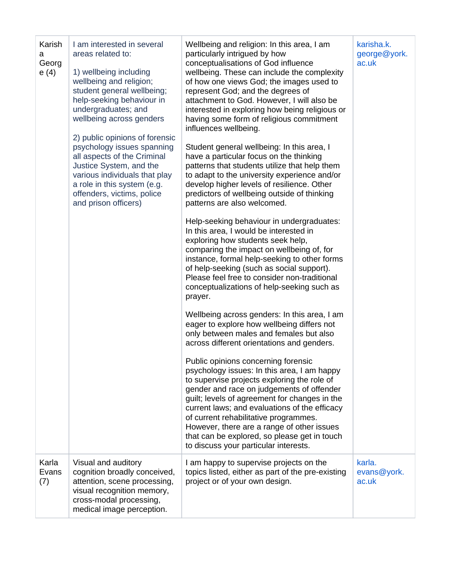| Karish<br>a<br>Georg<br>e(4) | I am interested in several<br>areas related to:<br>1) wellbeing including<br>wellbeing and religion;<br>student general wellbeing;<br>help-seeking behaviour in<br>undergraduates; and<br>wellbeing across genders<br>2) public opinions of forensic<br>psychology issues spanning<br>all aspects of the Criminal<br>Justice System, and the<br>various individuals that play<br>a role in this system (e.g.<br>offenders, victims, police<br>and prison officers) | Wellbeing and religion: In this area, I am<br>particularly intrigued by how<br>conceptualisations of God influence<br>wellbeing. These can include the complexity<br>of how one views God; the images used to<br>represent God; and the degrees of<br>attachment to God. However, I will also be<br>interested in exploring how being religious or<br>having some form of religious commitment<br>influences wellbeing.<br>Student general wellbeing: In this area, I<br>have a particular focus on the thinking<br>patterns that students utilize that help them<br>to adapt to the university experience and/or<br>develop higher levels of resilience. Other<br>predictors of wellbeing outside of thinking<br>patterns are also welcomed.<br>Help-seeking behaviour in undergraduates:<br>In this area, I would be interested in<br>exploring how students seek help,<br>comparing the impact on wellbeing of, for<br>instance, formal help-seeking to other forms<br>of help-seeking (such as social support).<br>Please feel free to consider non-traditional<br>conceptualizations of help-seeking such as<br>prayer.<br>Wellbeing across genders: In this area, I am<br>eager to explore how wellbeing differs not<br>only between males and females but also<br>across different orientations and genders.<br>Public opinions concerning forensic<br>psychology issues: In this area, I am happy<br>to supervise projects exploring the role of<br>gender and race on judgements of offender<br>guilt; levels of agreement for changes in the<br>current laws; and evaluations of the efficacy<br>of current rehabilitative programmes.<br>However, there are a range of other issues<br>that can be explored, so please get in touch<br>to discuss your particular interests. | karisha.k.<br>george@york.<br>ac.uk |
|------------------------------|--------------------------------------------------------------------------------------------------------------------------------------------------------------------------------------------------------------------------------------------------------------------------------------------------------------------------------------------------------------------------------------------------------------------------------------------------------------------|-----------------------------------------------------------------------------------------------------------------------------------------------------------------------------------------------------------------------------------------------------------------------------------------------------------------------------------------------------------------------------------------------------------------------------------------------------------------------------------------------------------------------------------------------------------------------------------------------------------------------------------------------------------------------------------------------------------------------------------------------------------------------------------------------------------------------------------------------------------------------------------------------------------------------------------------------------------------------------------------------------------------------------------------------------------------------------------------------------------------------------------------------------------------------------------------------------------------------------------------------------------------------------------------------------------------------------------------------------------------------------------------------------------------------------------------------------------------------------------------------------------------------------------------------------------------------------------------------------------------------------------------------------------------------------------------------------------------------------------------------------------------------------------------|-------------------------------------|
| Karla<br>Evans<br>(7)        | Visual and auditory<br>cognition broadly conceived,<br>attention, scene processing,<br>visual recognition memory,<br>cross-modal processing,<br>medical image perception.                                                                                                                                                                                                                                                                                          | I am happy to supervise projects on the<br>topics listed, either as part of the pre-existing<br>project or of your own design.                                                                                                                                                                                                                                                                                                                                                                                                                                                                                                                                                                                                                                                                                                                                                                                                                                                                                                                                                                                                                                                                                                                                                                                                                                                                                                                                                                                                                                                                                                                                                                                                                                                          | karla.<br>evans@york.<br>ac.uk      |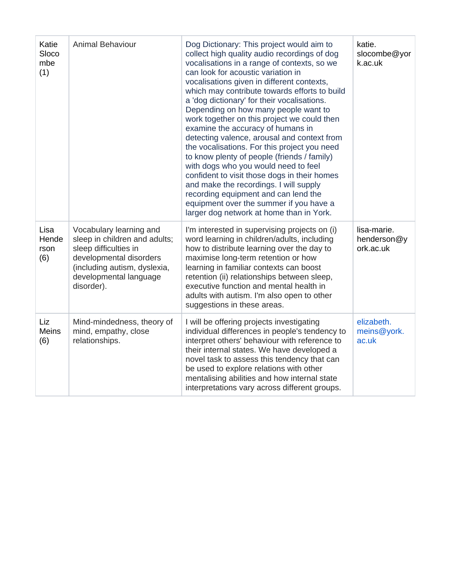| Katie<br>Sloco<br>mbe<br>(1) | <b>Animal Behaviour</b>                                                                                                                                                              | Dog Dictionary: This project would aim to<br>collect high quality audio recordings of dog<br>vocalisations in a range of contexts, so we<br>can look for acoustic variation in<br>vocalisations given in different contexts,<br>which may contribute towards efforts to build<br>a 'dog dictionary' for their vocalisations.<br>Depending on how many people want to<br>work together on this project we could then<br>examine the accuracy of humans in<br>detecting valence, arousal and context from<br>the vocalisations. For this project you need<br>to know plenty of people (friends / family)<br>with dogs who you would need to feel<br>confident to visit those dogs in their homes<br>and make the recordings. I will supply<br>recording equipment and can lend the<br>equipment over the summer if you have a<br>larger dog network at home than in York. | katie.<br>slocombe@yor<br>k.ac.uk       |
|------------------------------|--------------------------------------------------------------------------------------------------------------------------------------------------------------------------------------|-------------------------------------------------------------------------------------------------------------------------------------------------------------------------------------------------------------------------------------------------------------------------------------------------------------------------------------------------------------------------------------------------------------------------------------------------------------------------------------------------------------------------------------------------------------------------------------------------------------------------------------------------------------------------------------------------------------------------------------------------------------------------------------------------------------------------------------------------------------------------|-----------------------------------------|
| Lisa<br>Hende<br>rson<br>(6) | Vocabulary learning and<br>sleep in children and adults;<br>sleep difficulties in<br>developmental disorders<br>(including autism, dyslexia,<br>developmental language<br>disorder). | I'm interested in supervising projects on (i)<br>word learning in children/adults, including<br>how to distribute learning over the day to<br>maximise long-term retention or how<br>learning in familiar contexts can boost<br>retention (ii) relationships between sleep,<br>executive function and mental health in<br>adults with autism. I'm also open to other<br>suggestions in these areas.                                                                                                                                                                                                                                                                                                                                                                                                                                                                     | lisa-marie.<br>henderson@y<br>ork.ac.uk |
| Liz<br><b>Meins</b><br>(6)   | Mind-mindedness, theory of<br>mind, empathy, close<br>relationships.                                                                                                                 | I will be offering projects investigating<br>individual differences in people's tendency to<br>interpret others' behaviour with reference to<br>their internal states. We have developed a<br>novel task to assess this tendency that can<br>be used to explore relations with other<br>mentalising abilities and how internal state<br>interpretations vary across different groups.                                                                                                                                                                                                                                                                                                                                                                                                                                                                                   | elizabeth.<br>meins@york.<br>ac.uk      |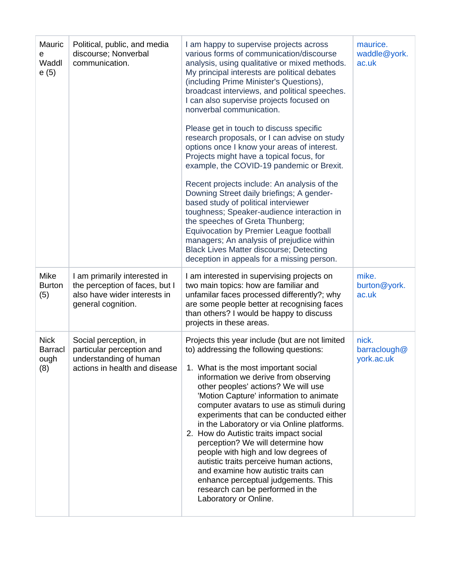| Mauric<br>е<br>Waddl<br>e(5)                 | Political, public, and media<br>discourse; Nonverbal<br>communication.                                               | I am happy to supervise projects across<br>various forms of communication/discourse<br>analysis, using qualitative or mixed methods.<br>My principal interests are political debates<br>(including Prime Minister's Questions),<br>broadcast interviews, and political speeches.<br>I can also supervise projects focused on<br>nonverbal communication.                                                                                                                                                                                                                                                                                                                                                         | maurice.<br>waddle@york.<br>ac.uk   |
|----------------------------------------------|----------------------------------------------------------------------------------------------------------------------|------------------------------------------------------------------------------------------------------------------------------------------------------------------------------------------------------------------------------------------------------------------------------------------------------------------------------------------------------------------------------------------------------------------------------------------------------------------------------------------------------------------------------------------------------------------------------------------------------------------------------------------------------------------------------------------------------------------|-------------------------------------|
|                                              |                                                                                                                      | Please get in touch to discuss specific<br>research proposals, or I can advise on study<br>options once I know your areas of interest.<br>Projects might have a topical focus, for<br>example, the COVID-19 pandemic or Brexit.                                                                                                                                                                                                                                                                                                                                                                                                                                                                                  |                                     |
|                                              |                                                                                                                      | Recent projects include: An analysis of the<br>Downing Street daily briefings; A gender-<br>based study of political interviewer<br>toughness; Speaker-audience interaction in<br>the speeches of Greta Thunberg;<br>Equivocation by Premier League football<br>managers; An analysis of prejudice within<br><b>Black Lives Matter discourse; Detecting</b><br>deception in appeals for a missing person.                                                                                                                                                                                                                                                                                                        |                                     |
| Mike<br><b>Burton</b><br>(5)                 | I am primarily interested in<br>the perception of faces, but I<br>also have wider interests in<br>general cognition. | I am interested in supervising projects on<br>two main topics: how are familiar and<br>unfamilar faces processed differently?; why<br>are some people better at recognising faces<br>than others? I would be happy to discuss<br>projects in these areas.                                                                                                                                                                                                                                                                                                                                                                                                                                                        | mike.<br>burton@york.<br>ac.uk      |
| <b>Nick</b><br><b>Barracl</b><br>ough<br>(8) | Social perception, in<br>particular perception and<br>understanding of human<br>actions in health and disease        | Projects this year include (but are not limited<br>to) addressing the following questions:<br>1. What is the most important social<br>information we derive from observing<br>other peoples' actions? We will use<br>'Motion Capture' information to animate<br>computer avatars to use as stimuli during<br>experiments that can be conducted either<br>in the Laboratory or via Online platforms.<br>2. How do Autistic traits impact social<br>perception? We will determine how<br>people with high and low degrees of<br>autistic traits perceive human actions,<br>and examine how autistic traits can<br>enhance perceptual judgements. This<br>research can be performed in the<br>Laboratory or Online. | nick.<br>barraclough@<br>york.ac.uk |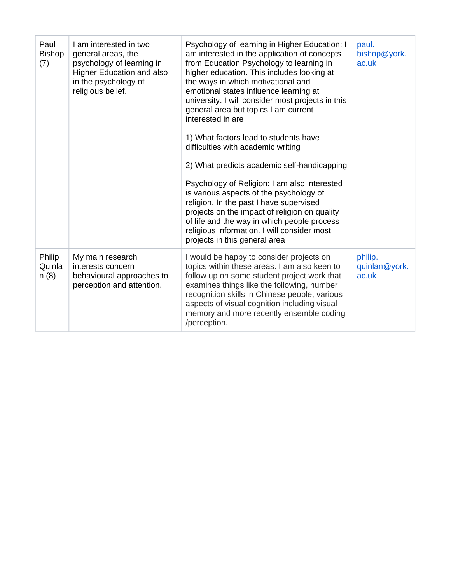| Paul<br><b>Bishop</b><br>(7) | I am interested in two<br>general areas, the<br>psychology of learning in<br>Higher Education and also<br>in the psychology of<br>religious belief. | Psychology of learning in Higher Education: I<br>am interested in the application of concepts<br>from Education Psychology to learning in<br>higher education. This includes looking at<br>the ways in which motivational and<br>emotional states influence learning at<br>university. I will consider most projects in this<br>general area but topics I am current<br>interested in are<br>1) What factors lead to students have<br>difficulties with academic writing<br>2) What predicts academic self-handicapping<br>Psychology of Religion: I am also interested<br>is various aspects of the psychology of<br>religion. In the past I have supervised<br>projects on the impact of religion on quality<br>of life and the way in which people process<br>religious information. I will consider most<br>projects in this general area | paul.<br>bishop@york.<br>ac.uk    |
|------------------------------|-----------------------------------------------------------------------------------------------------------------------------------------------------|-----------------------------------------------------------------------------------------------------------------------------------------------------------------------------------------------------------------------------------------------------------------------------------------------------------------------------------------------------------------------------------------------------------------------------------------------------------------------------------------------------------------------------------------------------------------------------------------------------------------------------------------------------------------------------------------------------------------------------------------------------------------------------------------------------------------------------------------------|-----------------------------------|
| Philip<br>Quinla<br>n(8)     | My main research<br>interests concern<br>behavioural approaches to<br>perception and attention.                                                     | I would be happy to consider projects on<br>topics within these areas. I am also keen to<br>follow up on some student project work that<br>examines things like the following, number<br>recognition skills in Chinese people, various<br>aspects of visual cognition including visual<br>memory and more recently ensemble coding<br>/perception.                                                                                                                                                                                                                                                                                                                                                                                                                                                                                            | philip.<br>quinlan@york.<br>ac.uk |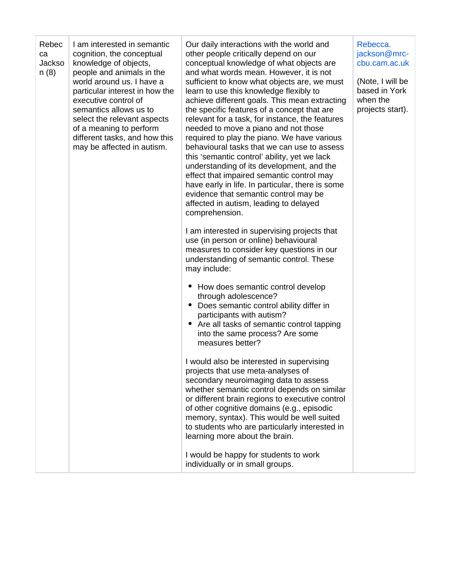| Rebec<br>I am interested in semantic<br>Our daily interactions with the world and<br>Rebecca.<br>cognition, the conceptual<br>other people critically depend on our<br>ca<br>knowledge of objects,<br>Jackso<br>conceptual knowledge of what objects are<br>people and animals in the<br>n(8)<br>and what words mean. However, it is not<br>world around us. I have a<br>sufficient to know what objects are, we must<br>learn to use this knowledge flexibly to<br>particular interest in how the<br>achieve different goals. This mean extracting<br>when the<br>executive control of<br>semantics allows us to<br>the specific features of a concept that are<br>relevant for a task, for instance, the features<br>select the relevant aspects<br>of a meaning to perform<br>needed to move a piano and not those<br>required to play the piano. We have various<br>different tasks, and how this<br>may be affected in autism.<br>behavioural tasks that we can use to assess<br>this 'semantic control' ability, yet we lack<br>understanding of its development, and the<br>effect that impaired semantic control may<br>have early in life. In particular, there is some<br>evidence that semantic control may be<br>affected in autism, leading to delayed<br>comprehension.<br>I am interested in supervising projects that<br>use (in person or online) behavioural<br>measures to consider key questions in our<br>understanding of semantic control. These<br>may include:<br>How does semantic control develop<br>through adolescence?<br>Does semantic control ability differ in<br>participants with autism?<br>Are all tasks of semantic control tapping<br>$\bullet$<br>into the same process? Are some<br>measures better?<br>would also be interested in supervising<br>projects that use meta-analyses of<br>secondary neuroimaging data to assess<br>whether semantic control depends on similar<br>or different brain regions to executive control<br>of other cognitive domains (e.g., episodic<br>memory, syntax). This would be well suited<br>to students who are particularly interested in<br>learning more about the brain. |  |  |                                                                                        |
|-----------------------------------------------------------------------------------------------------------------------------------------------------------------------------------------------------------------------------------------------------------------------------------------------------------------------------------------------------------------------------------------------------------------------------------------------------------------------------------------------------------------------------------------------------------------------------------------------------------------------------------------------------------------------------------------------------------------------------------------------------------------------------------------------------------------------------------------------------------------------------------------------------------------------------------------------------------------------------------------------------------------------------------------------------------------------------------------------------------------------------------------------------------------------------------------------------------------------------------------------------------------------------------------------------------------------------------------------------------------------------------------------------------------------------------------------------------------------------------------------------------------------------------------------------------------------------------------------------------------------------------------------------------------------------------------------------------------------------------------------------------------------------------------------------------------------------------------------------------------------------------------------------------------------------------------------------------------------------------------------------------------------------------------------------------------------------------------------------------------------------------------------------------|--|--|----------------------------------------------------------------------------------------|
| I would be happy for students to work<br>individually or in small groups.                                                                                                                                                                                                                                                                                                                                                                                                                                                                                                                                                                                                                                                                                                                                                                                                                                                                                                                                                                                                                                                                                                                                                                                                                                                                                                                                                                                                                                                                                                                                                                                                                                                                                                                                                                                                                                                                                                                                                                                                                                                                                 |  |  | jackson@mrc-<br>cbu.cam.ac.uk<br>(Note, I will be<br>based in York<br>projects start). |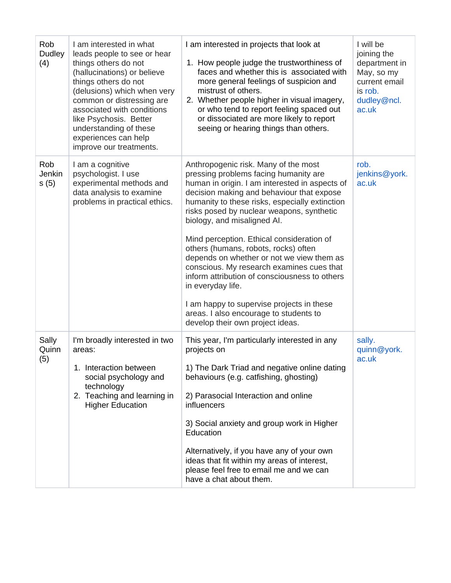| Rob<br>Dudley<br>(4)  | I am interested in what<br>leads people to see or hear<br>things others do not<br>(hallucinations) or believe<br>things others do not<br>(delusions) which when very<br>common or distressing are<br>associated with conditions<br>like Psychosis. Better<br>understanding of these<br>experiences can help<br>improve our treatments. | I am interested in projects that look at<br>1. How people judge the trustworthiness of<br>faces and whether this is associated with<br>more general feelings of suspicion and<br>mistrust of others.<br>2. Whether people higher in visual imagery,<br>or who tend to report feeling spaced out<br>or dissociated are more likely to report<br>seeing or hearing things than others.                                                                                                                                                                                                                                                                                                       | I will be<br>joining the<br>department in<br>May, so my<br>current email<br>is rob.<br>dudley@ncl.<br>ac.uk |
|-----------------------|----------------------------------------------------------------------------------------------------------------------------------------------------------------------------------------------------------------------------------------------------------------------------------------------------------------------------------------|--------------------------------------------------------------------------------------------------------------------------------------------------------------------------------------------------------------------------------------------------------------------------------------------------------------------------------------------------------------------------------------------------------------------------------------------------------------------------------------------------------------------------------------------------------------------------------------------------------------------------------------------------------------------------------------------|-------------------------------------------------------------------------------------------------------------|
| Rob<br>Jenkin<br>s(5) | I am a cognitive<br>psychologist. I use<br>experimental methods and<br>data analysis to examine<br>problems in practical ethics.                                                                                                                                                                                                       | Anthropogenic risk. Many of the most<br>pressing problems facing humanity are<br>human in origin. I am interested in aspects of<br>decision making and behaviour that expose<br>humanity to these risks, especially extinction<br>risks posed by nuclear weapons, synthetic<br>biology, and misaligned AI.<br>Mind perception. Ethical consideration of<br>others (humans, robots, rocks) often<br>depends on whether or not we view them as<br>conscious. My research examines cues that<br>inform attribution of consciousness to others<br>in everyday life.<br>I am happy to supervise projects in these<br>areas. I also encourage to students to<br>develop their own project ideas. | rob.<br>jenkins@york.<br>ac.uk                                                                              |
| Sally<br>Quinn<br>(5) | I'm broadly interested in two<br>areas:<br>1. Interaction between<br>social psychology and<br>technology<br>2. Teaching and learning in<br><b>Higher Education</b>                                                                                                                                                                     | This year, I'm particularly interested in any<br>projects on<br>1) The Dark Triad and negative online dating<br>behaviours (e.g. catfishing, ghosting)<br>2) Parasocial Interaction and online<br>influencers<br>3) Social anxiety and group work in Higher<br>Education<br>Alternatively, if you have any of your own<br>ideas that fit within my areas of interest,<br>please feel free to email me and we can<br>have a chat about them.                                                                                                                                                                                                                                                | sally.<br>quinn@york.<br>ac.uk                                                                              |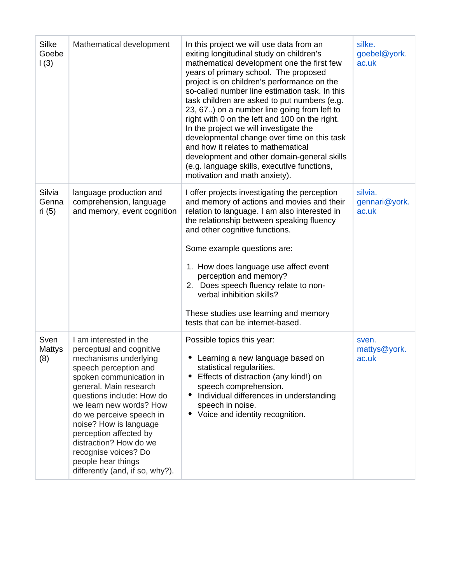| Silke<br>Goebe<br>$\vert$ (3) | Mathematical development                                                                                                                                                                                                                                                                                                                                                                                     | In this project we will use data from an<br>exiting longitudinal study on children's<br>mathematical development one the first few<br>years of primary school. The proposed<br>project is on children's performance on the<br>so-called number line estimation task. In this<br>task children are asked to put numbers (e.g.<br>23, 67) on a number line going from left to<br>right with 0 on the left and 100 on the right.<br>In the project we will investigate the<br>developmental change over time on this task<br>and how it relates to mathematical<br>development and other domain-general skills<br>(e.g. language skills, executive functions,<br>motivation and math anxiety). | silke.<br>goebel@york.<br>ac.uk   |
|-------------------------------|--------------------------------------------------------------------------------------------------------------------------------------------------------------------------------------------------------------------------------------------------------------------------------------------------------------------------------------------------------------------------------------------------------------|---------------------------------------------------------------------------------------------------------------------------------------------------------------------------------------------------------------------------------------------------------------------------------------------------------------------------------------------------------------------------------------------------------------------------------------------------------------------------------------------------------------------------------------------------------------------------------------------------------------------------------------------------------------------------------------------|-----------------------------------|
| Silvia<br>Genna<br>ri (5)     | language production and<br>comprehension, language<br>and memory, event cognition                                                                                                                                                                                                                                                                                                                            | I offer projects investigating the perception<br>and memory of actions and movies and their<br>relation to language. I am also interested in<br>the relationship between speaking fluency<br>and other cognitive functions.<br>Some example questions are:<br>1. How does language use affect event<br>perception and memory?<br>2. Does speech fluency relate to non-<br>verbal inhibition skills?<br>These studies use learning and memory<br>tests that can be internet-based.                                                                                                                                                                                                           | silvia.<br>gennari@york.<br>ac.uk |
| Sven<br>Mattys<br>(8)         | I am interested in the<br>perceptual and cognitive<br>mechanisms underlying<br>speech perception and<br>spoken communication in<br>general. Main research<br>questions include: How do<br>we learn new words? How<br>do we perceive speech in<br>noise? How is language<br>perception affected by<br>distraction? How do we<br>recognise voices? Do<br>people hear things<br>differently (and, if so, why?). | Possible topics this year:<br>• Learning a new language based on<br>statistical regularities.<br>Effects of distraction (any kind!) on<br>speech comprehension.<br>Individual differences in understanding<br>٠<br>speech in noise.<br>Voice and identity recognition.                                                                                                                                                                                                                                                                                                                                                                                                                      | sven.<br>mattys@york.<br>ac.uk    |